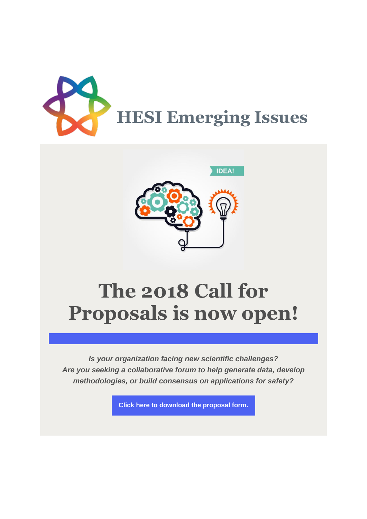



## **The 2018 Call for Proposals is now open!**

*Is your organization facing new scientific challenges? Are you seeking a collaborative forum to help generate data, develop methodologies, or build consensus on applications for safety?*

**Click here [to download the proposal form.](http://r20.rs6.net/tn.jsp?f=001F05Y_NGNLv9oisZjEl5sKKIo2x7KcJ7l5RAJGvMIKKM8dtUvJqBfGMhRcW9GshEqMWtViZ1ZOqYOvO-DW3JqIbZvEdB9Y683vW-pwrAVGJBdTeNQZmKyYBwjM_QcAiXsaQX8pTqwKGpF5xSOEoF3LP1pKRCPNJDZ81u-b9LTfqvaoLBUIUtYcWwcuREV8rCFQSUmVPGDjRYxo9fUEWK9zBtqs1IIHYCr46i4mdRlJHr8VmRuzkZ7OnS_UpJG_n1UNWog5hVy2oMEcAumOYucxQ==&c=xMfOM9O5aH5mZYhFh6yqo8JCNfm9boZ7cryN7jK6p37LkWIgBFgLKw==&ch=PaMfE4tx9dxoHcvy02CqVAikDcskEiNCMUxZETrCFu4yp6uOO9n3nA==)**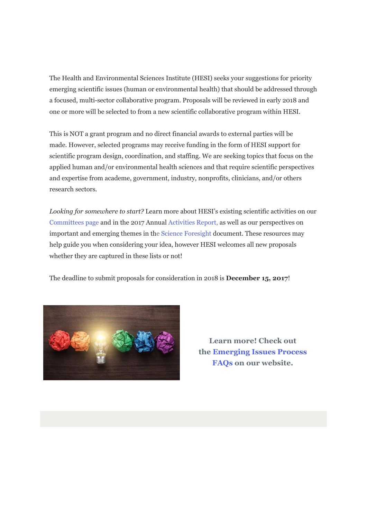The Health and Environmental Sciences Institute (HESI) seeks your suggestions for priority emerging scientific issues (human or environmental health) that should be addressed through a focused, multi-sector collaborative program. Proposals will be reviewed in early 2018 and one or more will be selected to from a new scientific collaborative program within HESI.

This is NOT a grant program and no direct financial awards to external parties will be made. However, selected programs may receive funding in the form of HESI support for scientific program design, coordination, and staffing. We are seeking topics that focus on the applied human and/or environmental health sciences and that require scientific perspectives and expertise from academe, government, industry, nonprofits, clinicians, and/or others research sectors.

*Looking for somewhere to start?* Learn more about HESI's existing scientific activities on our [Committees page](http://r20.rs6.net/tn.jsp?f=001F05Y_NGNLv9oisZjEl5sKKIo2x7KcJ7l5RAJGvMIKKM8dtUvJqBfGLfvIseCPgW97HQJDb6GUIJzbjIbfqfaLCu-Q0Qbt8QYrX5ZS8aa_Vdetgxgr90miuIloyUJMu7G6WETwsgHbGamCWffFu3szTVEjf3OaOGu&c=xMfOM9O5aH5mZYhFh6yqo8JCNfm9boZ7cryN7jK6p37LkWIgBFgLKw==&ch=PaMfE4tx9dxoHcvy02CqVAikDcskEiNCMUxZETrCFu4yp6uOO9n3nA==) and in the 2017 Annual [Activities Report,](http://r20.rs6.net/tn.jsp?f=001F05Y_NGNLv9oisZjEl5sKKIo2x7KcJ7l5RAJGvMIKKM8dtUvJqBfGG4t-zlVqOuygprBCbqS0q9weCwj61HeTaopEv7fWj5Kk7AioNMwWvq0xtSaVDyJGfI-TIH2aB_zzbl6WvrBcHuoJ36SuZInZXmJDVorVFRFiktug0Cxnlu-VJgE_opwUg==&c=xMfOM9O5aH5mZYhFh6yqo8JCNfm9boZ7cryN7jK6p37LkWIgBFgLKw==&ch=PaMfE4tx9dxoHcvy02CqVAikDcskEiNCMUxZETrCFu4yp6uOO9n3nA==) as well as our perspectives on important and emerging themes in the [Science Foresight d](http://r20.rs6.net/tn.jsp?f=001F05Y_NGNLv9oisZjEl5sKKIo2x7KcJ7l5RAJGvMIKKM8dtUvJqBfGCI-ElKy62yXZssWAi1HEEYQ_R9gpJugof8lDfxzgHMfZfSE2KUxlXKqD7BYhq2Yvo-TjnbGnGkhJr3myEagzGSDDvcH9scE9sRbFXDEAsAJQx6TgRhbLCNMYlcw60mY5-o6ePcYAX2DnR_DamSN_TYBxVcAnefOUKpv_SFRgZMeHVvvmUzHKhQxN5HP3NmWgHgzfhDj2c0nsz3sy9F58jo=&c=xMfOM9O5aH5mZYhFh6yqo8JCNfm9boZ7cryN7jK6p37LkWIgBFgLKw==&ch=PaMfE4tx9dxoHcvy02CqVAikDcskEiNCMUxZETrCFu4yp6uOO9n3nA==)ocument. These resources may help guide you when considering your idea, however HESI welcomes all new proposals whether they are captured in these lists or not!

The deadline to submit proposals for consideration in 2018 is **December 15, 2017**!



**Learn more! Check out the [Emerging Issues Process](http://r20.rs6.net/tn.jsp?f=001F05Y_NGNLv9oisZjEl5sKKIo2x7KcJ7l5RAJGvMIKKM8dtUvJqBfGDd97SCcOedAcW2hE19pRDca4HGYl8AFC7u5AD8CLrsnQl5xBgwzYnU7ZZ9-lkSPr1NmeC-8AqbIPOUWflXbBaoji1DgxRHjCJaktWd7InFxOZbPNNRRhutj_uz0DXhlDUYtuTVU11vYI2oEqxI2pAqBO8ri5ypHZYEdaXVhNwVW&c=xMfOM9O5aH5mZYhFh6yqo8JCNfm9boZ7cryN7jK6p37LkWIgBFgLKw==&ch=PaMfE4tx9dxoHcvy02CqVAikDcskEiNCMUxZETrCFu4yp6uOO9n3nA==)  [FAQs](http://r20.rs6.net/tn.jsp?f=001F05Y_NGNLv9oisZjEl5sKKIo2x7KcJ7l5RAJGvMIKKM8dtUvJqBfGDd97SCcOedAcW2hE19pRDca4HGYl8AFC7u5AD8CLrsnQl5xBgwzYnU7ZZ9-lkSPr1NmeC-8AqbIPOUWflXbBaoji1DgxRHjCJaktWd7InFxOZbPNNRRhutj_uz0DXhlDUYtuTVU11vYI2oEqxI2pAqBO8ri5ypHZYEdaXVhNwVW&c=xMfOM9O5aH5mZYhFh6yqo8JCNfm9boZ7cryN7jK6p37LkWIgBFgLKw==&ch=PaMfE4tx9dxoHcvy02CqVAikDcskEiNCMUxZETrCFu4yp6uOO9n3nA==) on our website.**